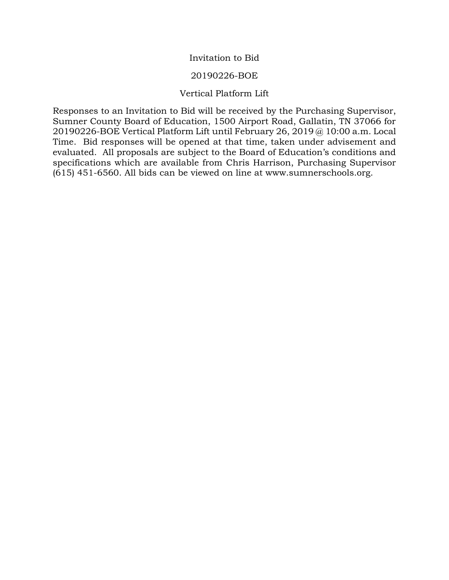## Invitation to Bid

## 20190226-BOE

## Vertical Platform Lift

Responses to an Invitation to Bid will be received by the Purchasing Supervisor, Sumner County Board of Education, 1500 Airport Road, Gallatin, TN 37066 for 20190226-BOE Vertical Platform Lift until February 26, 2019 @ 10:00 a.m. Local Time. Bid responses will be opened at that time, taken under advisement and evaluated. All proposals are subject to the Board of Education's conditions and specifications which are available from Chris Harrison, Purchasing Supervisor (615) 451-6560. All bids can be viewed on line at www.sumnerschools.org.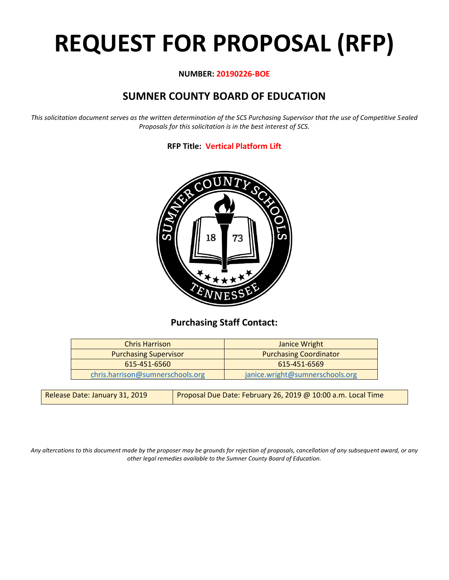# **REQUEST FOR PROPOSAL (RFP)**

## **NUMBER: 20190226-BOE**

# **SUMNER COUNTY BOARD OF EDUCATION**

*This solicitation document serves as the written determination of the SCS Purchasing Supervisor that the use of Competitive Sealed Proposals for this solicitation is in the best interest of SCS.*

## **RFP Title: Vertical Platform Lift**



## **Purchasing Staff Contact:**

| <b>Chris Harrison</b>            | Janice Wright                   |
|----------------------------------|---------------------------------|
| <b>Purchasing Supervisor</b>     | <b>Purchasing Coordinator</b>   |
| 615-451-6560                     | 615-451-6569                    |
| chris.harrison@sumnerschools.org | janice.wright@sumnerschools.org |

| Release Date: January 31, 2019 | Proposal Due Date: February 26, 2019 @ 10:00 a.m. Local Time |
|--------------------------------|--------------------------------------------------------------|
|--------------------------------|--------------------------------------------------------------|

*Any altercations to this document made by the proposer may be grounds for rejection of proposals, cancellation of any subsequent award, or any other legal remedies available to the Sumner County Board of Education.*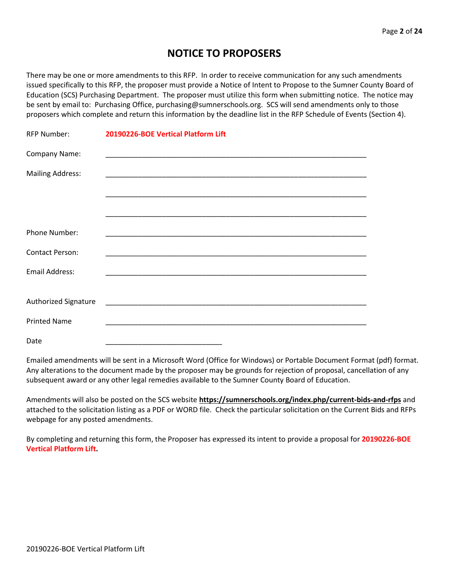## **NOTICE TO PROPOSERS**

There may be one or more amendments to this RFP. In order to receive communication for any such amendments issued specifically to this RFP, the proposer must provide a Notice of Intent to Propose to the Sumner County Board of Education (SCS) Purchasing Department. The proposer must utilize this form when submitting notice. The notice may be sent by email to: Purchasing Office, purchasing@sumnerschools.org. SCS will send amendments only to those proposers which complete and return this information by the deadline list in the RFP Schedule of Events (Section 4).

| <b>RFP Number:</b>      | 20190226-BOE Vertical Platform Lift                                                                                  |
|-------------------------|----------------------------------------------------------------------------------------------------------------------|
| Company Name:           |                                                                                                                      |
| <b>Mailing Address:</b> |                                                                                                                      |
|                         |                                                                                                                      |
|                         |                                                                                                                      |
| Phone Number:           |                                                                                                                      |
| Contact Person:         | <u> 2002 - Jan James James, martin amerikan basar dan berasar basar dalam basar dalam basar dalam basar dalam ba</u> |
| Email Address:          |                                                                                                                      |
| Authorized Signature    |                                                                                                                      |
| <b>Printed Name</b>     |                                                                                                                      |
| Date                    |                                                                                                                      |

Emailed amendments will be sent in a Microsoft Word (Office for Windows) or Portable Document Format (pdf) format. Any alterations to the document made by the proposer may be grounds for rejection of proposal, cancellation of any subsequent award or any other legal remedies available to the Sumner County Board of Education.

Amendments will also be posted on the SCS website **https://sumnerschools.org/index.php/current-bids-and-rfps** and attached to the solicitation listing as a PDF or WORD file. Check the particular solicitation on the Current Bids and RFPs webpage for any posted amendments.

By completing and returning this form, the Proposer has expressed its intent to provide a proposal for **20190226-BOE Vertical Platform Lift.**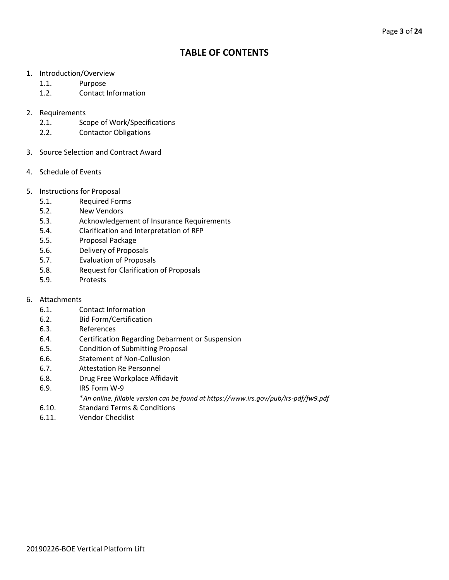## **TABLE OF CONTENTS**

- 1. Introduction/Overview
	- 1.1. Purpose
	- 1.2. Contact Information
- 2. Requirements
	- 2.1. Scope of Work/Specifications
	- 2.2. Contactor Obligations
- 3. Source Selection and Contract Award
- 4. Schedule of Events
- 5. Instructions for Proposal
	- 5.1. Required Forms
	- 5.2. New Vendors
	- 5.3. Acknowledgement of Insurance Requirements
	- 5.4. Clarification and Interpretation of RFP
	- 5.5. Proposal Package
	- 5.6. Delivery of Proposals
	- 5.7. Evaluation of Proposals
	- 5.8. Request for Clarification of Proposals
	- 5.9. Protests
- 6. Attachments
	- 6.1. Contact Information
	- 6.2. Bid Form/Certification
	- 6.3. References
	- 6.4. Certification Regarding Debarment or Suspension
	- 6.5. Condition of Submitting Proposal
	- 6.6. Statement of Non-Collusion
	- 6.7. Attestation Re Personnel
	- 6.8. Drug Free Workplace Affidavit
	- 6.9. IRS Form W-9
		- \**An online, fillable version can be found at https://www.irs.gov/pub/irs-pdf/fw9.pdf*
	- 6.10. Standard Terms & Conditions
	- 6.11. Vendor Checklist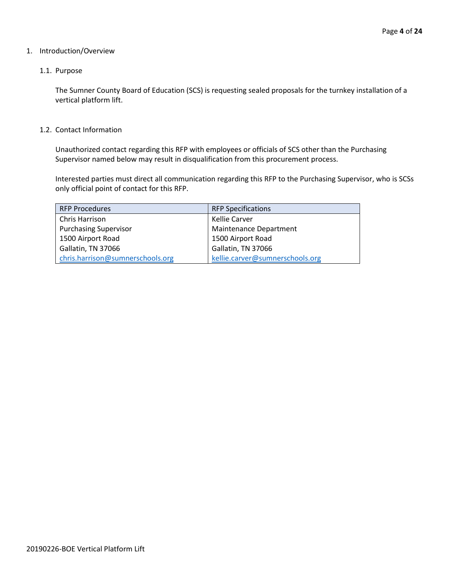## 1. Introduction/Overview

## 1.1. Purpose

The Sumner County Board of Education (SCS) is requesting sealed proposals for the turnkey installation of a vertical platform lift.

### 1.2. Contact Information

Unauthorized contact regarding this RFP with employees or officials of SCS other than the Purchasing Supervisor named below may result in disqualification from this procurement process.

Interested parties must direct all communication regarding this RFP to the Purchasing Supervisor, who is SCSs only official point of contact for this RFP.

| <b>RFP Procedures</b>            | <b>RFP Specifications</b>       |
|----------------------------------|---------------------------------|
| Chris Harrison                   | Kellie Carver                   |
| <b>Purchasing Supervisor</b>     | <b>Maintenance Department</b>   |
| 1500 Airport Road                | 1500 Airport Road               |
| Gallatin, TN 37066               | Gallatin, TN 37066              |
| chris.harrison@sumnerschools.org | kellie.carver@sumnerschools.org |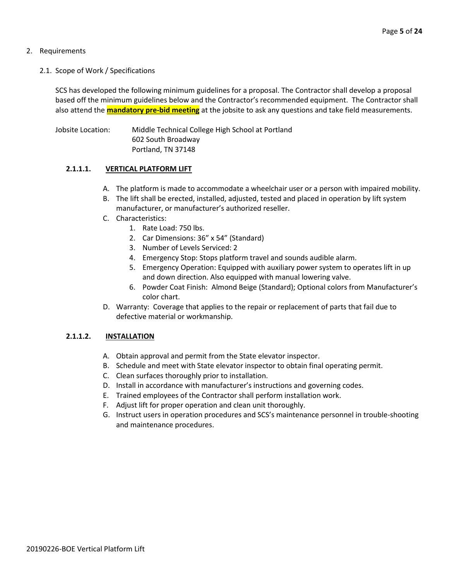## 2. Requirements

2.1. Scope of Work / Specifications

SCS has developed the following minimum guidelines for a proposal. The Contractor shall develop a proposal based off the minimum guidelines below and the Contractor's recommended equipment. The Contractor shall also attend the **mandatory pre-bid meeting** at the jobsite to ask any questions and take field measurements.

Jobsite Location: Middle Technical College High School at Portland 602 South Broadway Portland, TN 37148

## **2.1.1.1. VERTICAL PLATFORM LIFT**

- A. The platform is made to accommodate a wheelchair user or a person with impaired mobility.
- B. The lift shall be erected, installed, adjusted, tested and placed in operation by lift system manufacturer, or manufacturer's authorized reseller.
- C. Characteristics:
	- 1. Rate Load: 750 lbs.
	- 2. Car Dimensions: 36" x 54" (Standard)
	- 3. Number of Levels Serviced: 2
	- 4. Emergency Stop: Stops platform travel and sounds audible alarm.
	- 5. Emergency Operation: Equipped with auxiliary power system to operates lift in up and down direction. Also equipped with manual lowering valve.
	- 6. Powder Coat Finish: Almond Beige (Standard); Optional colors from Manufacturer's color chart.
- D. Warranty: Coverage that applies to the repair or replacement of parts that fail due to defective material or workmanship.

## **2.1.1.2. INSTALLATION**

- A. Obtain approval and permit from the State elevator inspector.
- B. Schedule and meet with State elevator inspector to obtain final operating permit.
- C. Clean surfaces thoroughly prior to installation.
- D. Install in accordance with manufacturer's instructions and governing codes.
- E. Trained employees of the Contractor shall perform installation work.
- F. Adjust lift for proper operation and clean unit thoroughly.
- G. Instruct users in operation procedures and SCS's maintenance personnel in trouble-shooting and maintenance procedures.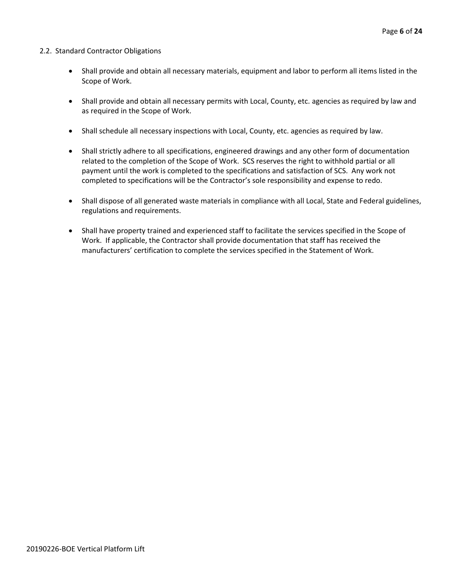## 2.2. Standard Contractor Obligations

- Shall provide and obtain all necessary materials, equipment and labor to perform all items listed in the Scope of Work.
- Shall provide and obtain all necessary permits with Local, County, etc. agencies as required by law and as required in the Scope of Work.
- Shall schedule all necessary inspections with Local, County, etc. agencies as required by law.
- Shall strictly adhere to all specifications, engineered drawings and any other form of documentation related to the completion of the Scope of Work. SCS reserves the right to withhold partial or all payment until the work is completed to the specifications and satisfaction of SCS. Any work not completed to specifications will be the Contractor's sole responsibility and expense to redo.
- Shall dispose of all generated waste materials in compliance with all Local, State and Federal guidelines, regulations and requirements.
- Shall have property trained and experienced staff to facilitate the services specified in the Scope of Work. If applicable, the Contractor shall provide documentation that staff has received the manufacturers' certification to complete the services specified in the Statement of Work.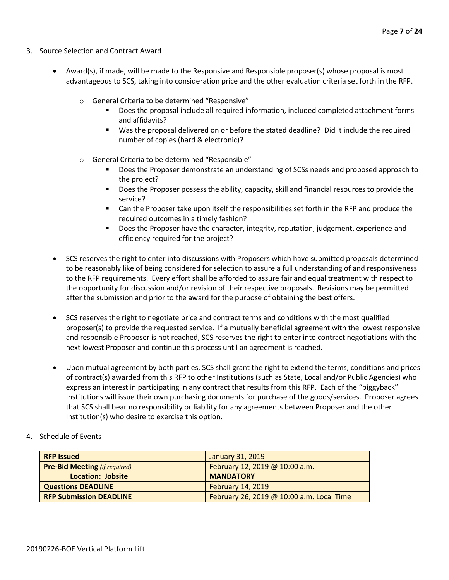- 3. Source Selection and Contract Award
	- Award(s), if made, will be made to the Responsive and Responsible proposer(s) whose proposal is most advantageous to SCS, taking into consideration price and the other evaluation criteria set forth in the RFP.
		- o General Criteria to be determined "Responsive"
			- Does the proposal include all required information, included completed attachment forms and affidavits?
			- Was the proposal delivered on or before the stated deadline? Did it include the required number of copies (hard & electronic)?
		- o General Criteria to be determined "Responsible"
			- Does the Proposer demonstrate an understanding of SCSs needs and proposed approach to the project?
			- Does the Proposer possess the ability, capacity, skill and financial resources to provide the service?
			- Can the Proposer take upon itself the responsibilities set forth in the RFP and produce the required outcomes in a timely fashion?
			- **■** Does the Proposer have the character, integrity, reputation, judgement, experience and efficiency required for the project?
	- SCS reserves the right to enter into discussions with Proposers which have submitted proposals determined to be reasonably like of being considered for selection to assure a full understanding of and responsiveness to the RFP requirements. Every effort shall be afforded to assure fair and equal treatment with respect to the opportunity for discussion and/or revision of their respective proposals. Revisions may be permitted after the submission and prior to the award for the purpose of obtaining the best offers.
	- SCS reserves the right to negotiate price and contract terms and conditions with the most qualified proposer(s) to provide the requested service. If a mutually beneficial agreement with the lowest responsive and responsible Proposer is not reached, SCS reserves the right to enter into contract negotiations with the next lowest Proposer and continue this process until an agreement is reached.
	- Upon mutual agreement by both parties, SCS shall grant the right to extend the terms, conditions and prices of contract(s) awarded from this RFP to other Institutions (such as State, Local and/or Public Agencies) who express an interest in participating in any contract that results from this RFP. Each of the "piggyback" Institutions will issue their own purchasing documents for purchase of the goods/services. Proposer agrees that SCS shall bear no responsibility or liability for any agreements between Proposer and the other Institution(s) who desire to exercise this option.
- 4. Schedule of Events

| <b>RFP Issued</b>                    | January 31, 2019                          |
|--------------------------------------|-------------------------------------------|
| <b>Pre-Bid Meeting (if required)</b> | February 12, 2019 @ 10:00 a.m.            |
| Location: Jobsite                    | <b>MANDATORY</b>                          |
| <b>Questions DEADLINE</b>            | <b>February 14, 2019</b>                  |
| <b>RFP Submission DEADLINE</b>       | February 26, 2019 @ 10:00 a.m. Local Time |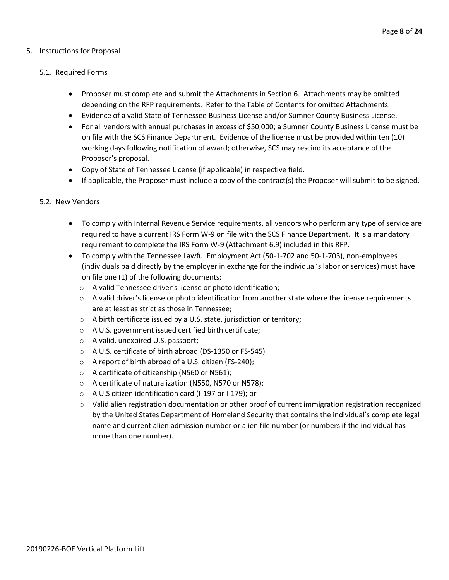## 5. Instructions for Proposal

## 5.1. Required Forms

- Proposer must complete and submit the Attachments in Section 6. Attachments may be omitted depending on the RFP requirements. Refer to the Table of Contents for omitted Attachments.
- Evidence of a valid State of Tennessee Business License and/or Sumner County Business License.
- For all vendors with annual purchases in excess of \$50,000; a Sumner County Business License must be on file with the SCS Finance Department. Evidence of the license must be provided within ten (10) working days following notification of award; otherwise, SCS may rescind its acceptance of the Proposer's proposal.
- Copy of State of Tennessee License (if applicable) in respective field.
- If applicable, the Proposer must include a copy of the contract(s) the Proposer will submit to be signed.

### 5.2. New Vendors

- To comply with Internal Revenue Service requirements, all vendors who perform any type of service are required to have a current IRS Form W-9 on file with the SCS Finance Department. It is a mandatory requirement to complete the IRS Form W-9 (Attachment 6.9) included in this RFP.
- To comply with the Tennessee Lawful Employment Act (50-1-702 and 50-1-703), non-employees (individuals paid directly by the employer in exchange for the individual's labor or services) must have on file one (1) of the following documents:
	- o A valid Tennessee driver's license or photo identification;
	- $\circ$  A valid driver's license or photo identification from another state where the license requirements are at least as strict as those in Tennessee;
	- o A birth certificate issued by a U.S. state, jurisdiction or territory;
	- o A U.S. government issued certified birth certificate;
	- o A valid, unexpired U.S. passport;
	- o A U.S. certificate of birth abroad (DS-1350 or FS-545)
	- o A report of birth abroad of a U.S. citizen (FS-240);
	- o A certificate of citizenship (N560 or N561);
	- o A certificate of naturalization (N550, N570 or N578);
	- o A U.S citizen identification card (I-197 or I-179); or
	- $\circ$  Valid alien registration documentation or other proof of current immigration registration recognized by the United States Department of Homeland Security that contains the individual's complete legal name and current alien admission number or alien file number (or numbers if the individual has more than one number).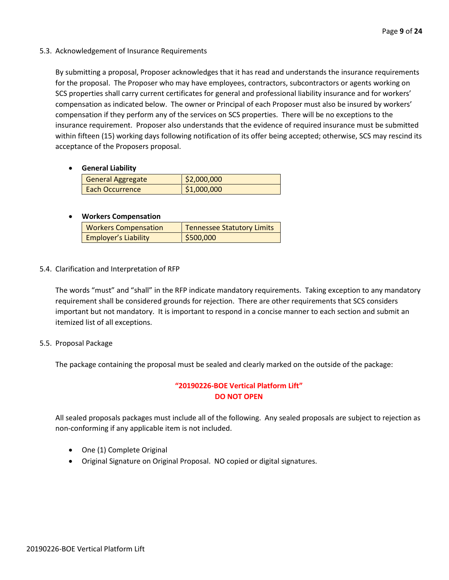5.3. Acknowledgement of Insurance Requirements

By submitting a proposal, Proposer acknowledges that it has read and understands the insurance requirements for the proposal. The Proposer who may have employees, contractors, subcontractors or agents working on SCS properties shall carry current certificates for general and professional liability insurance and for workers' compensation as indicated below. The owner or Principal of each Proposer must also be insured by workers' compensation if they perform any of the services on SCS properties. There will be no exceptions to the insurance requirement. Proposer also understands that the evidence of required insurance must be submitted within fifteen (15) working days following notification of its offer being accepted; otherwise, SCS may rescind its acceptance of the Proposers proposal.

• **General Liability**

| General Aggregate      | \$2,000,000 |
|------------------------|-------------|
| <b>Each Occurrence</b> | \$1,000,000 |

## • **Workers Compensation**

| <b>Workers Compensation</b> | <b>Tennessee Statutory Limits</b> |
|-----------------------------|-----------------------------------|
| <b>Employer's Liability</b> | \$500,000                         |

5.4. Clarification and Interpretation of RFP

The words "must" and "shall" in the RFP indicate mandatory requirements. Taking exception to any mandatory requirement shall be considered grounds for rejection. There are other requirements that SCS considers important but not mandatory. It is important to respond in a concise manner to each section and submit an itemized list of all exceptions.

5.5. Proposal Package

The package containing the proposal must be sealed and clearly marked on the outside of the package:

## **"20190226-BOE Vertical Platform Lift" DO NOT OPEN**

All sealed proposals packages must include all of the following. Any sealed proposals are subject to rejection as non-conforming if any applicable item is not included.

- One (1) Complete Original
- Original Signature on Original Proposal. NO copied or digital signatures.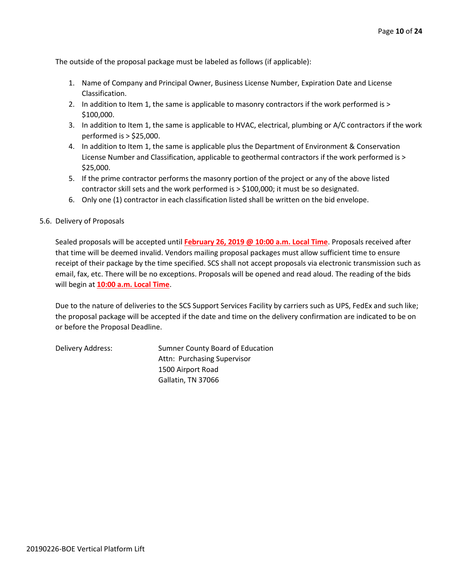The outside of the proposal package must be labeled as follows (if applicable):

- 1. Name of Company and Principal Owner, Business License Number, Expiration Date and License Classification.
- 2. In addition to Item 1, the same is applicable to masonry contractors if the work performed is > \$100,000.
- 3. In addition to Item 1, the same is applicable to HVAC, electrical, plumbing or A/C contractors if the work performed is > \$25,000.
- 4. In addition to Item 1, the same is applicable plus the Department of Environment & Conservation License Number and Classification, applicable to geothermal contractors if the work performed is > \$25,000.
- 5. If the prime contractor performs the masonry portion of the project or any of the above listed contractor skill sets and the work performed is > \$100,000; it must be so designated.
- 6. Only one (1) contractor in each classification listed shall be written on the bid envelope.
- 5.6. Delivery of Proposals

Sealed proposals will be accepted until **February 26, 2019 @ 10:00 a.m. Local Time**. Proposals received after that time will be deemed invalid. Vendors mailing proposal packages must allow sufficient time to ensure receipt of their package by the time specified. SCS shall not accept proposals via electronic transmission such as email, fax, etc. There will be no exceptions. Proposals will be opened and read aloud. The reading of the bids will begin at **10:00 a.m. Local Time**.

Due to the nature of deliveries to the SCS Support Services Facility by carriers such as UPS, FedEx and such like; the proposal package will be accepted if the date and time on the delivery confirmation are indicated to be on or before the Proposal Deadline.

Delivery Address: Sumner County Board of Education Attn: Purchasing Supervisor 1500 Airport Road Gallatin, TN 37066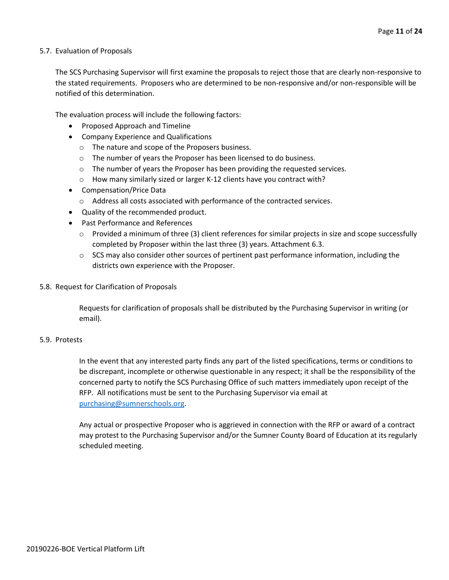## 5.7. Evaluation of Proposals

The SCS Purchasing Supervisor will first examine the proposals to reject those that are clearly non-responsive to the stated requirements. Proposers who are determined to be non-responsive and/or non-responsible will be notified of this determination.

The evaluation process will include the following factors:

- Proposed Approach and Timeline
- Company Experience and Qualifications
	- o The nature and scope of the Proposers business.
	- o The number of years the Proposer has been licensed to do business.
	- o The number of years the Proposer has been providing the requested services.
	- o How many similarly sized or larger K-12 clients have you contract with?
- Compensation/Price Data
	- o Address all costs associated with performance of the contracted services.
- Quality of the recommended product.
- Past Performance and References
	- $\circ$  Provided a minimum of three (3) client references for similar projects in size and scope successfully completed by Proposer within the last three (3) years. Attachment 6.3.
	- $\circ$  SCS may also consider other sources of pertinent past performance information, including the districts own experience with the Proposer.
- 5.8. Request for Clarification of Proposals

Requests for clarification of proposals shall be distributed by the Purchasing Supervisor in writing (or email).

## 5.9. Protests

In the event that any interested party finds any part of the listed specifications, terms or conditions to be discrepant, incomplete or otherwise questionable in any respect; it shall be the responsibility of the concerned party to notify the SCS Purchasing Office of such matters immediately upon receipt of the RFP. All notifications must be sent to the Purchasing Supervisor via email at [purchasing@sumnerschools.org.](mailto:purchasing@sumnerschools.org)

Any actual or prospective Proposer who is aggrieved in connection with the RFP or award of a contract may protest to the Purchasing Supervisor and/or the Sumner County Board of Education at its regularly scheduled meeting.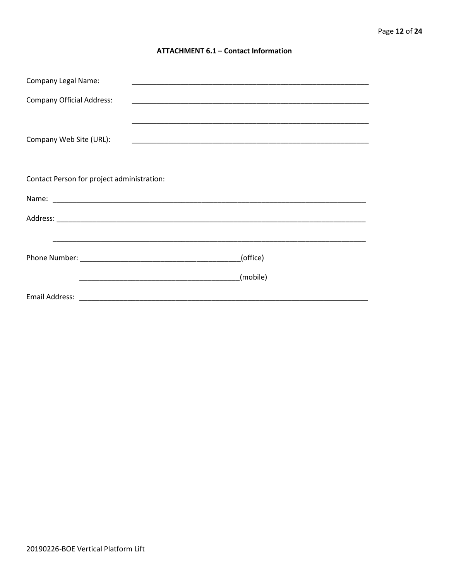## **ATTACHMENT 6.1 - Contact Information**

| <b>Company Legal Name:</b>                 |                                                                                                                        |          |  |
|--------------------------------------------|------------------------------------------------------------------------------------------------------------------------|----------|--|
| <b>Company Official Address:</b>           |                                                                                                                        |          |  |
|                                            |                                                                                                                        |          |  |
| Company Web Site (URL):                    |                                                                                                                        |          |  |
|                                            |                                                                                                                        |          |  |
|                                            |                                                                                                                        |          |  |
| Contact Person for project administration: |                                                                                                                        |          |  |
|                                            |                                                                                                                        |          |  |
|                                            |                                                                                                                        |          |  |
|                                            |                                                                                                                        |          |  |
|                                            |                                                                                                                        | (office) |  |
|                                            | <u> 2002 - Johann John Harry Harry Harry Harry Harry Harry Harry Harry Harry Harry Harry Harry Harry Harry Harry H</u> | (mobile) |  |
|                                            |                                                                                                                        |          |  |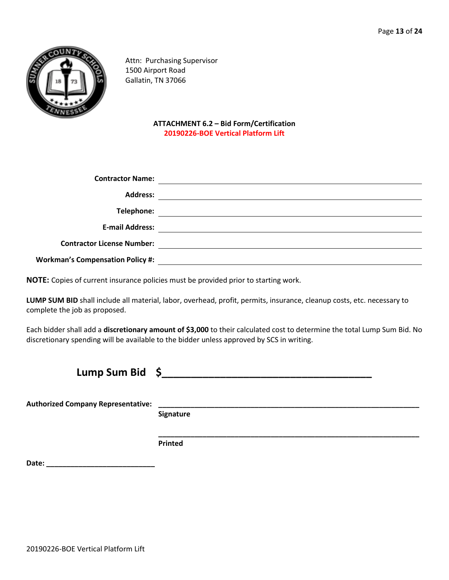

Attn: Purchasing Supervisor 1500 Airport Road Gallatin, TN 37066

> **ATTACHMENT 6.2 – Bid Form/Certification 20190226-BOE Vertical Platform Lift**

| <b>Contractor Name:</b>                 |  |
|-----------------------------------------|--|
| <b>Address:</b>                         |  |
| Telephone:                              |  |
| <b>E-mail Address:</b>                  |  |
| <b>Contractor License Number:</b>       |  |
| <b>Workman's Compensation Policy #:</b> |  |

**NOTE:** Copies of current insurance policies must be provided prior to starting work.

**LUMP SUM BID** shall include all material, labor, overhead, profit, permits, insurance, cleanup costs, etc. necessary to complete the job as proposed.

Each bidder shall add a **discretionary amount of \$3,000** to their calculated cost to determine the total Lump Sum Bid. No discretionary spending will be available to the bidder unless approved by SCS in writing.

| <b>Lump Sum Bid</b>                       | -S        |
|-------------------------------------------|-----------|
| <b>Authorized Company Representative:</b> | Signature |

**\_\_\_\_\_\_\_\_\_\_\_\_\_\_\_\_\_\_\_\_\_\_\_\_\_\_\_\_\_\_\_\_\_\_\_\_\_\_\_\_\_\_\_\_\_\_\_\_\_\_\_\_\_\_\_\_\_\_\_\_\_\_\_\_\_ Printed**

**Date: \_\_\_\_\_\_\_\_\_\_\_\_\_\_\_\_\_\_\_\_\_\_\_\_\_\_\_**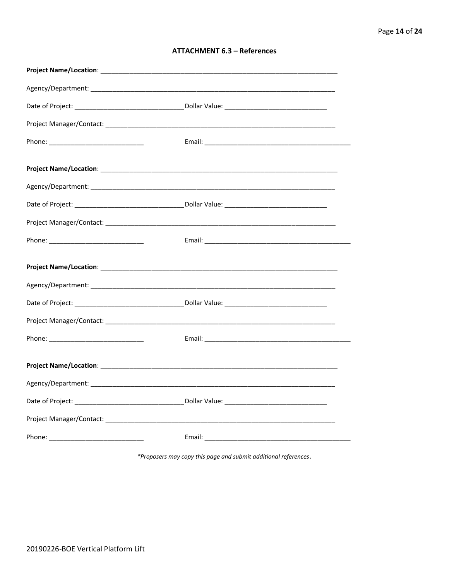| <b>ATTACHMENT 6.3 - References</b> |  |  |
|------------------------------------|--|--|
|------------------------------------|--|--|

\*Proposers may copy this page and submit additional references.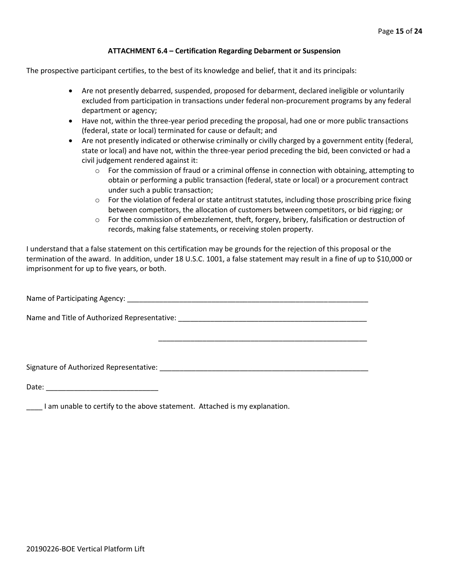## **ATTACHMENT 6.4 – Certification Regarding Debarment or Suspension**

The prospective participant certifies, to the best of its knowledge and belief, that it and its principals:

- Are not presently debarred, suspended, proposed for debarment, declared ineligible or voluntarily excluded from participation in transactions under federal non-procurement programs by any federal department or agency;
- Have not, within the three-year period preceding the proposal, had one or more public transactions (federal, state or local) terminated for cause or default; and
- Are not presently indicated or otherwise criminally or civilly charged by a government entity (federal, state or local) and have not, within the three-year period preceding the bid, been convicted or had a civil judgement rendered against it:
	- $\circ$  For the commission of fraud or a criminal offense in connection with obtaining, attempting to obtain or performing a public transaction (federal, state or local) or a procurement contract under such a public transaction;
	- $\circ$  For the violation of federal or state antitrust statutes, including those proscribing price fixing between competitors, the allocation of customers between competitors, or bid rigging; or
	- $\circ$  For the commission of embezzlement, theft, forgery, bribery, falsification or destruction of records, making false statements, or receiving stolen property.

\_\_\_\_\_\_\_\_\_\_\_\_\_\_\_\_\_\_\_\_\_\_\_\_\_\_\_\_\_\_\_\_\_\_\_\_\_\_\_\_\_\_\_\_\_\_\_\_\_\_\_\_

I understand that a false statement on this certification may be grounds for the rejection of this proposal or the termination of the award. In addition, under 18 U.S.C. 1001, a false statement may result in a fine of up to \$10,000 or imprisonment for up to five years, or both.

Name of Participating Agency: \_\_\_\_\_\_\_\_\_\_\_\_\_\_\_\_\_\_\_\_\_\_\_\_\_\_\_\_\_\_\_\_\_\_\_\_\_\_\_\_\_\_\_\_\_\_\_\_\_\_\_\_\_\_\_\_\_\_\_\_

Name and Title of Authorized Representative: \_\_\_\_\_\_\_\_\_\_\_\_\_\_\_\_\_\_\_\_\_\_\_\_\_\_\_\_\_\_\_\_\_\_\_

Signature of Authorized Representative: \_\_\_\_\_\_\_\_\_\_\_\_\_\_\_\_\_\_\_\_\_\_\_\_\_\_\_\_\_\_\_\_\_\_\_\_\_\_\_\_\_\_\_\_\_\_\_\_\_\_\_\_

Date: \_\_\_\_\_\_\_\_\_\_\_\_\_\_\_\_\_\_\_\_\_\_\_\_\_\_\_\_

I am unable to certify to the above statement. Attached is my explanation.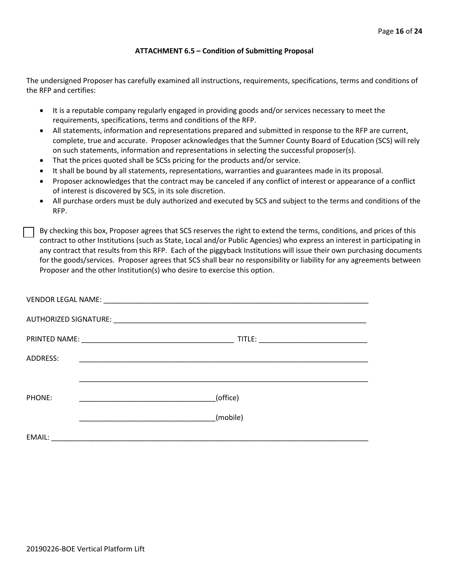## **ATTACHMENT 6.5 – Condition of Submitting Proposal**

The undersigned Proposer has carefully examined all instructions, requirements, specifications, terms and conditions of the RFP and certifies:

- It is a reputable company regularly engaged in providing goods and/or services necessary to meet the requirements, specifications, terms and conditions of the RFP.
- All statements, information and representations prepared and submitted in response to the RFP are current, complete, true and accurate. Proposer acknowledges that the Sumner County Board of Education (SCS) will rely on such statements, information and representations in selecting the successful proposer(s).
- That the prices quoted shall be SCSs pricing for the products and/or service.
- It shall be bound by all statements, representations, warranties and guarantees made in its proposal.
- Proposer acknowledges that the contract may be canceled if any conflict of interest or appearance of a conflict of interest is discovered by SCS, in its sole discretion.
- All purchase orders must be duly authorized and executed by SCS and subject to the terms and conditions of the RFP.

By checking this box, Proposer agrees that SCS reserves the right to extend the terms, conditions, and prices of this contract to other Institutions (such as State, Local and/or Public Agencies) who express an interest in participating in any contract that results from this RFP. Each of the piggyback Institutions will issue their own purchasing documents for the goods/services. Proposer agrees that SCS shall bear no responsibility or liability for any agreements between Proposer and the other Institution(s) who desire to exercise this option.

| ADDRESS: |          |
|----------|----------|
|          |          |
| PHONE:   | (office) |
|          | (mobile) |
| EMAIL:   |          |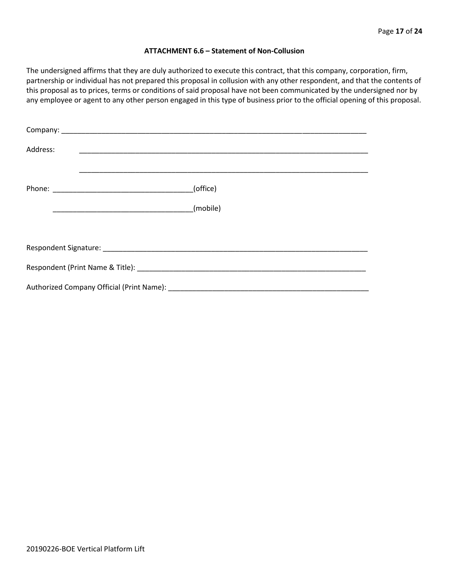#### **ATTACHMENT 6.6 – Statement of Non-Collusion**

The undersigned affirms that they are duly authorized to execute this contract, that this company, corporation, firm, partnership or individual has not prepared this proposal in collusion with any other respondent, and that the contents of this proposal as to prices, terms or conditions of said proposal have not been communicated by the undersigned nor by any employee or agent to any other person engaged in this type of business prior to the official opening of this proposal.

| Address: |          |  |  |  |  |
|----------|----------|--|--|--|--|
|          | (office) |  |  |  |  |
|          |          |  |  |  |  |
|          |          |  |  |  |  |
|          |          |  |  |  |  |
|          |          |  |  |  |  |
|          |          |  |  |  |  |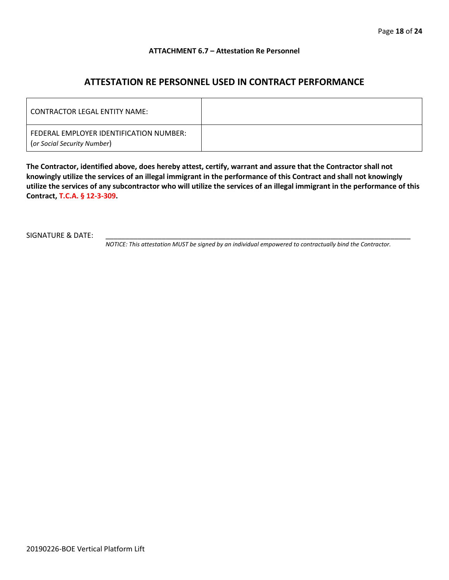## **ATTACHMENT 6.7 – Attestation Re Personnel**

## **ATTESTATION RE PERSONNEL USED IN CONTRACT PERFORMANCE**

| CONTRACTOR LEGAL ENTITY NAME:                                          |  |
|------------------------------------------------------------------------|--|
| FEDERAL EMPLOYER IDENTIFICATION NUMBER:<br>(or Social Security Number) |  |

**The Contractor, identified above, does hereby attest, certify, warrant and assure that the Contractor shall not knowingly utilize the services of an illegal immigrant in the performance of this Contract and shall not knowingly utilize the services of any subcontractor who will utilize the services of an illegal immigrant in the performance of this Contract, T.C.A. § 12-3-309.**

SIGNATURE & DATE:

*NOTICE: This attestation MUST be signed by an individual empowered to contractually bind the Contractor.*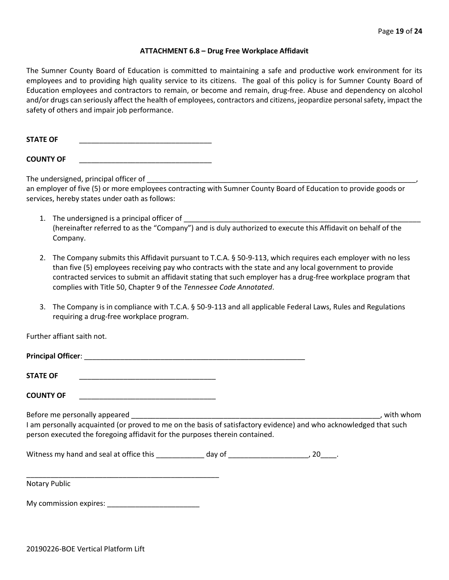#### **ATTACHMENT 6.8 – Drug Free Workplace Affidavit**

The Sumner County Board of Education is committed to maintaining a safe and productive work environment for its employees and to providing high quality service to its citizens. The goal of this policy is for Sumner County Board of Education employees and contractors to remain, or become and remain, drug-free. Abuse and dependency on alcohol and/or drugs can seriously affect the health of employees, contractors and citizens, jeopardize personal safety, impact the safety of others and impair job performance.

STATE OF

**COUNTY OF** \_\_\_\_\_\_\_\_\_\_\_\_\_\_\_\_\_\_\_\_\_\_\_\_\_\_\_\_\_\_\_\_\_

The undersigned, principal officer of

an employer of five (5) or more employees contracting with Sumner County Board of Education to provide goods or services, hereby states under oath as follows:

- 1. The undersigned is a principal officer of (hereinafter referred to as the "Company") and is duly authorized to execute this Affidavit on behalf of the Company.
- 2. The Company submits this Affidavit pursuant to T.C.A. § 50-9-113, which requires each employer with no less than five (5) employees receiving pay who contracts with the state and any local government to provide contracted services to submit an affidavit stating that such employer has a drug-free workplace program that complies with Title 50, Chapter 9 of the *Tennessee Code Annotated*.
- 3. The Company is in compliance with T.C.A. § 50-9-113 and all applicable Federal Laws, Rules and Regulations requiring a drug-free workplace program.

Further affiant saith not.

| Principal Officer: |  |
|--------------------|--|
| <b>STATE OF</b>    |  |

**COUNTY OF** \_\_\_\_\_\_\_\_\_\_\_\_\_\_\_\_\_\_\_\_\_\_\_\_\_\_\_\_\_\_\_\_\_\_

Before me personally appeared \_\_\_\_\_\_\_\_\_\_\_\_\_\_\_\_\_\_\_\_\_\_\_\_\_\_\_\_\_\_\_\_\_\_\_\_\_\_\_\_\_\_\_\_\_\_\_\_\_\_\_\_\_\_\_\_\_\_\_\_\_\_, with whom I am personally acquainted (or proved to me on the basis of satisfactory evidence) and who acknowledged that such person executed the foregoing affidavit for the purposes therein contained.

Witness my hand and seal at office this \_\_\_\_\_\_\_\_\_\_\_\_\_ day of \_\_\_\_\_\_\_\_\_\_\_\_\_\_\_\_\_\_\_\_\_, 20\_\_\_\_.

\_\_\_\_\_\_\_\_\_\_\_\_\_\_\_\_\_\_\_\_\_\_\_\_\_\_\_\_\_\_\_\_\_\_\_\_\_\_\_\_\_\_\_\_\_\_\_\_ Notary Public

My commission expires: \_\_\_\_\_\_\_\_\_\_\_\_\_\_\_\_\_\_\_\_\_\_\_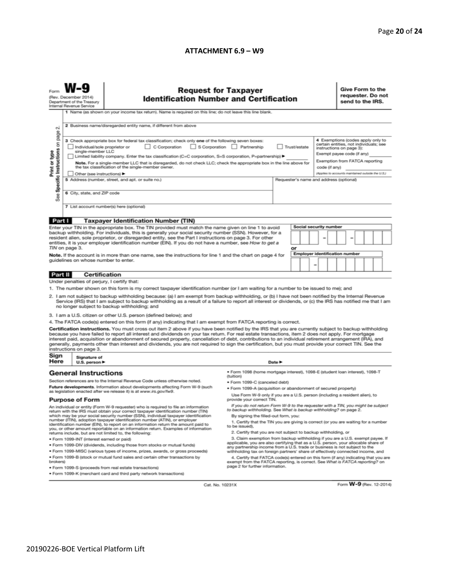### **ATTACHMENT 6.9 – W9**

|                                                                                                                                                                                                                                                                                                                                                                                                                                                                                                                                                                                                                                                                                                                                                                             | <b>Request for Taxpayer</b><br>(Rev. December 2014)<br><b>Identification Number and Certification</b><br>Department of the Treasury<br>Internal Revenue Service<br>1 Name (as shown on your income tax return). Name is required on this line; do not leave this line blank.                                                                                                                                                                                   |                                                                                                                                                                                                                                                                                                                                                        |                                                                                                                                               |                                     |  |  |  |                                                                                                                                                                | Give Form to the<br>requester. Do not<br>send to the IRS. |  |  |  |  |  |
|-----------------------------------------------------------------------------------------------------------------------------------------------------------------------------------------------------------------------------------------------------------------------------------------------------------------------------------------------------------------------------------------------------------------------------------------------------------------------------------------------------------------------------------------------------------------------------------------------------------------------------------------------------------------------------------------------------------------------------------------------------------------------------|----------------------------------------------------------------------------------------------------------------------------------------------------------------------------------------------------------------------------------------------------------------------------------------------------------------------------------------------------------------------------------------------------------------------------------------------------------------|--------------------------------------------------------------------------------------------------------------------------------------------------------------------------------------------------------------------------------------------------------------------------------------------------------------------------------------------------------|-----------------------------------------------------------------------------------------------------------------------------------------------|-------------------------------------|--|--|--|----------------------------------------------------------------------------------------------------------------------------------------------------------------|-----------------------------------------------------------|--|--|--|--|--|
| N                                                                                                                                                                                                                                                                                                                                                                                                                                                                                                                                                                                                                                                                                                                                                                           |                                                                                                                                                                                                                                                                                                                                                                                                                                                                | 2 Business name/disregarded entity name, if different from above<br>4 Exemptions (codes apply only to<br>3 Check appropriate box for federal tax classification; check only one of the following seven boxes:<br>certain entities, not individuals; see<br>C Corporation<br>S Corporation Partnership<br>Trust/estate<br>Individual/sole proprietor or |                                                                                                                                               |                                     |  |  |  |                                                                                                                                                                |                                                           |  |  |  |  |  |
| Specific Instructions on page<br>Print or type                                                                                                                                                                                                                                                                                                                                                                                                                                                                                                                                                                                                                                                                                                                              | single-member LLC<br>Limited liability company. Enter the tax classification (C=C corporation, S=S corporation, P=partnership) ▶<br>Note. For a single-member LLC that is disregarded, do not check LLC; check the appropriate box in the line above for<br>the tax classification of the single-member owner.<br>Other (see instructions) ▶                                                                                                                   |                                                                                                                                                                                                                                                                                                                                                        |                                                                                                                                               |                                     |  |  |  | instructions on page 3):<br>Exempt payee code (if any)<br>Exemption from FATCA reporting<br>code (if any)<br>(Applies to accounts maintained outside the U.S.) |                                                           |  |  |  |  |  |
| See                                                                                                                                                                                                                                                                                                                                                                                                                                                                                                                                                                                                                                                                                                                                                                         | 5 Address (number, street, and apt. or suite no.)<br>6 City, state, and ZIP code<br>7 List account number(s) here (optional)                                                                                                                                                                                                                                                                                                                                   |                                                                                                                                                                                                                                                                                                                                                        |                                                                                                                                               |                                     |  |  |  | Requester's name and address (optional)                                                                                                                        |                                                           |  |  |  |  |  |
|                                                                                                                                                                                                                                                                                                                                                                                                                                                                                                                                                                                                                                                                                                                                                                             |                                                                                                                                                                                                                                                                                                                                                                                                                                                                |                                                                                                                                                                                                                                                                                                                                                        |                                                                                                                                               |                                     |  |  |  |                                                                                                                                                                |                                                           |  |  |  |  |  |
| Part I                                                                                                                                                                                                                                                                                                                                                                                                                                                                                                                                                                                                                                                                                                                                                                      |                                                                                                                                                                                                                                                                                                                                                                                                                                                                | <b>Taxpayer Identification Number (TIN)</b>                                                                                                                                                                                                                                                                                                            |                                                                                                                                               |                                     |  |  |  |                                                                                                                                                                |                                                           |  |  |  |  |  |
| Social security number<br>Enter your TIN in the appropriate box. The TIN provided must match the name given on line 1 to avoid<br>backup withholding. For individuals, this is generally your social security number (SSN). However, for a<br>resident alien, sole proprietor, or disregarded entity, see the Part I instructions on page 3. For other<br>entities, it is your employer identification number (EIN). If you do not have a number, see How to get a                                                                                                                                                                                                                                                                                                          |                                                                                                                                                                                                                                                                                                                                                                                                                                                                |                                                                                                                                                                                                                                                                                                                                                        |                                                                                                                                               |                                     |  |  |  |                                                                                                                                                                |                                                           |  |  |  |  |  |
| TIN on page 3.<br>or<br>Note. If the account is in more than one name, see the instructions for line 1 and the chart on page 4 for<br>guidelines on whose number to enter.                                                                                                                                                                                                                                                                                                                                                                                                                                                                                                                                                                                                  |                                                                                                                                                                                                                                                                                                                                                                                                                                                                |                                                                                                                                                                                                                                                                                                                                                        |                                                                                                                                               | Employer identification number<br>- |  |  |  |                                                                                                                                                                |                                                           |  |  |  |  |  |
| Part II                                                                                                                                                                                                                                                                                                                                                                                                                                                                                                                                                                                                                                                                                                                                                                     | <b>Certification</b>                                                                                                                                                                                                                                                                                                                                                                                                                                           |                                                                                                                                                                                                                                                                                                                                                        |                                                                                                                                               |                                     |  |  |  |                                                                                                                                                                |                                                           |  |  |  |  |  |
|                                                                                                                                                                                                                                                                                                                                                                                                                                                                                                                                                                                                                                                                                                                                                                             | Under penalties of perjury, I certify that:                                                                                                                                                                                                                                                                                                                                                                                                                    |                                                                                                                                                                                                                                                                                                                                                        |                                                                                                                                               |                                     |  |  |  |                                                                                                                                                                |                                                           |  |  |  |  |  |
| 1. The number shown on this form is my correct taxpayer identification number (or I am waiting for a number to be issued to me); and<br>2. I am not subject to backup withholding because: (a) I am exempt from backup withholding, or (b) I have not been notified by the Internal Revenue<br>Service (IRS) that I am subject to backup withholding as a result of a failure to report all interest or dividends, or (c) the IRS has notified me that I am<br>no longer subject to backup withholding; and                                                                                                                                                                                                                                                                 |                                                                                                                                                                                                                                                                                                                                                                                                                                                                |                                                                                                                                                                                                                                                                                                                                                        |                                                                                                                                               |                                     |  |  |  |                                                                                                                                                                |                                                           |  |  |  |  |  |
|                                                                                                                                                                                                                                                                                                                                                                                                                                                                                                                                                                                                                                                                                                                                                                             |                                                                                                                                                                                                                                                                                                                                                                                                                                                                | 3. I am a U.S. citizen or other U.S. person (defined below); and                                                                                                                                                                                                                                                                                       |                                                                                                                                               |                                     |  |  |  |                                                                                                                                                                |                                                           |  |  |  |  |  |
| 4. The FATCA code(s) entered on this form (if any) indicating that I am exempt from FATCA reporting is correct.<br>Certification instructions. You must cross out item 2 above if you have been notified by the IRS that you are currently subject to backup withholding<br>because you have failed to report all interest and dividends on your tax return. For real estate transactions, item 2 does not apply. For mortgage<br>interest paid, acquisition or abandonment of secured property, cancellation of debt, contributions to an individual retirement arrangement (IRA), and<br>generally, payments other than interest and dividends, you are not required to sign the certification, but you must provide your correct TIN. See the<br>instructions on page 3. |                                                                                                                                                                                                                                                                                                                                                                                                                                                                |                                                                                                                                                                                                                                                                                                                                                        |                                                                                                                                               |                                     |  |  |  |                                                                                                                                                                |                                                           |  |  |  |  |  |
| Sign<br>Here                                                                                                                                                                                                                                                                                                                                                                                                                                                                                                                                                                                                                                                                                                                                                                | Signature of<br>U.S. person ▶                                                                                                                                                                                                                                                                                                                                                                                                                                  |                                                                                                                                                                                                                                                                                                                                                        |                                                                                                                                               | Date P                              |  |  |  |                                                                                                                                                                |                                                           |  |  |  |  |  |
|                                                                                                                                                                                                                                                                                                                                                                                                                                                                                                                                                                                                                                                                                                                                                                             | <b>General Instructions</b>                                                                                                                                                                                                                                                                                                                                                                                                                                    |                                                                                                                                                                                                                                                                                                                                                        | · Form 1098 (home mortgage interest), 1098-E (student Ioan interest), 1098-T<br>(tuition)                                                     |                                     |  |  |  |                                                                                                                                                                |                                                           |  |  |  |  |  |
|                                                                                                                                                                                                                                                                                                                                                                                                                                                                                                                                                                                                                                                                                                                                                                             |                                                                                                                                                                                                                                                                                                                                                                                                                                                                | Section references are to the Internal Revenue Code unless otherwise noted.                                                                                                                                                                                                                                                                            | • Form 1099-C (canceled debt)                                                                                                                 |                                     |  |  |  |                                                                                                                                                                |                                                           |  |  |  |  |  |
| Future developments. Information about developments affecting Form W-9 (such<br>as legislation enacted after we release it) is at www.irs.gov/fw9.                                                                                                                                                                                                                                                                                                                                                                                                                                                                                                                                                                                                                          |                                                                                                                                                                                                                                                                                                                                                                                                                                                                |                                                                                                                                                                                                                                                                                                                                                        | . Form 1099-A (acquisition or abandonment of secured property)<br>Use Form W-9 only if you are a U.S. person (including a resident alien), to |                                     |  |  |  |                                                                                                                                                                |                                                           |  |  |  |  |  |
| <b>Purpose of Form</b>                                                                                                                                                                                                                                                                                                                                                                                                                                                                                                                                                                                                                                                                                                                                                      |                                                                                                                                                                                                                                                                                                                                                                                                                                                                |                                                                                                                                                                                                                                                                                                                                                        | provide your correct TIN.                                                                                                                     |                                     |  |  |  |                                                                                                                                                                |                                                           |  |  |  |  |  |
|                                                                                                                                                                                                                                                                                                                                                                                                                                                                                                                                                                                                                                                                                                                                                                             | If you do not return Form W-9 to the requester with a TIN, you might be subject<br>An individual or entity (Form W-9 requester) who is required to file an information<br>to backup withholding. See What is backup withholding? on page 2.<br>return with the IRS must obtain your correct taxpayer identification number (TIN)<br>which may be your social security number (SSN), individual taxpayer identification<br>By signing the filled-out form, you: |                                                                                                                                                                                                                                                                                                                                                        |                                                                                                                                               |                                     |  |  |  |                                                                                                                                                                |                                                           |  |  |  |  |  |
| number (ITIN), adoption taxpayer identification number (ATIN), or employer<br>1. Certify that the TIN you are giving is correct (or you are waiting for a number<br>identification number (EIN), to report on an information return the amount paid to<br>to be issued).<br>you, or other amount reportable on an information return. Examples of information                                                                                                                                                                                                                                                                                                                                                                                                               |                                                                                                                                                                                                                                                                                                                                                                                                                                                                |                                                                                                                                                                                                                                                                                                                                                        |                                                                                                                                               |                                     |  |  |  |                                                                                                                                                                |                                                           |  |  |  |  |  |
| 2. Certify that you are not subject to backup withholding, or<br>returns include, but are not limited to, the following:                                                                                                                                                                                                                                                                                                                                                                                                                                                                                                                                                                                                                                                    |                                                                                                                                                                                                                                                                                                                                                                                                                                                                |                                                                                                                                                                                                                                                                                                                                                        |                                                                                                                                               |                                     |  |  |  |                                                                                                                                                                |                                                           |  |  |  |  |  |
| 3. Claim exemption from backup withholding if you are a U.S. exempt payee. If<br>· Form 1099-INT (interest earned or paid)<br>applicable, you are also certifying that as a U.S. person, your allocable share of                                                                                                                                                                                                                                                                                                                                                                                                                                                                                                                                                            |                                                                                                                                                                                                                                                                                                                                                                                                                                                                |                                                                                                                                                                                                                                                                                                                                                        |                                                                                                                                               |                                     |  |  |  |                                                                                                                                                                |                                                           |  |  |  |  |  |
| . Form 1099-DIV (dividends, including those from stocks or mutual funds)<br>. Form 1099-MISC (various types of income, prizes, awards, or gross proceeds)                                                                                                                                                                                                                                                                                                                                                                                                                                                                                                                                                                                                                   |                                                                                                                                                                                                                                                                                                                                                                                                                                                                |                                                                                                                                                                                                                                                                                                                                                        | any partnership income from a U.S. trade or business is not subject to the                                                                    |                                     |  |  |  |                                                                                                                                                                |                                                           |  |  |  |  |  |
| withholding tax on foreign partners' share of effectively connected income, and<br>. Form 1099-B (stock or mutual fund sales and certain other transactions by<br>4. Certify that FATCA code(s) entered on this form (if any) indicating that you are<br>brokers)<br>exempt from the FATCA reporting, is correct. See What is FATCA reporting? on<br>page 2 for further information.<br>· Form 1099-S (proceeds from real estate transactions)                                                                                                                                                                                                                                                                                                                              |                                                                                                                                                                                                                                                                                                                                                                                                                                                                |                                                                                                                                                                                                                                                                                                                                                        |                                                                                                                                               |                                     |  |  |  |                                                                                                                                                                |                                                           |  |  |  |  |  |
| . Form 1099-K (merchant card and third party network transactions)                                                                                                                                                                                                                                                                                                                                                                                                                                                                                                                                                                                                                                                                                                          |                                                                                                                                                                                                                                                                                                                                                                                                                                                                |                                                                                                                                                                                                                                                                                                                                                        |                                                                                                                                               |                                     |  |  |  |                                                                                                                                                                |                                                           |  |  |  |  |  |

Cat. No. 10231X

Form **W-9** (Rev. 12-2014)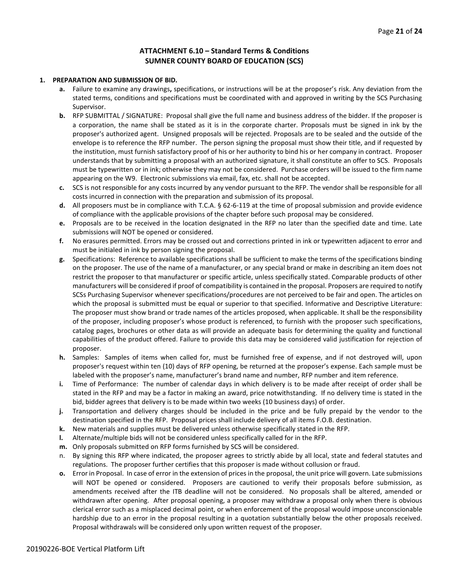## **ATTACHMENT 6.10 – Standard Terms & Conditions SUMNER COUNTY BOARD OF EDUCATION (SCS)**

#### **1. PREPARATION AND SUBMISSION OF BID.**

- **a.** Failure to examine any drawings**,** specifications, or instructions will be at the proposer's risk. Any deviation from the stated terms, conditions and specifications must be coordinated with and approved in writing by the SCS Purchasing Supervisor.
- **b.** RFP SUBMITTAL / SIGNATURE: Proposal shall give the full name and business address of the bidder. If the proposer is a corporation, the name shall be stated as it is in the corporate charter. Proposals must be signed in ink by the proposer's authorized agent. Unsigned proposals will be rejected. Proposals are to be sealed and the outside of the envelope is to reference the RFP number. The person signing the proposal must show their title, and if requested by the institution, must furnish satisfactory proof of his or her authority to bind his or her company in contract. Proposer understands that by submitting a proposal with an authorized signature, it shall constitute an offer to SCS. Proposals must be typewritten or in ink; otherwise they may not be considered. Purchase orders will be issued to the firm name appearing on the W9. Electronic submissions via email, fax, etc. shall not be accepted.
- **c.** SCS is not responsible for any costs incurred by any vendor pursuant to the RFP. The vendor shall be responsible for all costs incurred in connection with the preparation and submission of its proposal.
- **d.** All proposers must be in compliance with T.C.A. § 62-6-119 at the time of proposal submission and provide evidence of compliance with the applicable provisions of the chapter before such proposal may be considered.
- **e.** Proposals are to be received in the location designated in the RFP no later than the specified date and time. Late submissions will NOT be opened or considered.
- **f.** No erasures permitted. Errors may be crossed out and corrections printed in ink or typewritten adjacent to error and must be initialed in ink by person signing the proposal.
- **g.** Specifications: Reference to available specifications shall be sufficient to make the terms of the specifications binding on the proposer. The use of the name of a manufacturer, or any special brand or make in describing an item does not restrict the proposer to that manufacturer or specific article, unless specifically stated. Comparable products of other manufacturers will be considered if proof of compatibility is contained in the proposal. Proposers are required to notify SCSs Purchasing Supervisor whenever specifications/procedures are not perceived to be fair and open. The articles on which the proposal is submitted must be equal or superior to that specified. Informative and Descriptive Literature: The proposer must show brand or trade names of the articles proposed, when applicable. It shall be the responsibility of the proposer, including proposer's whose product is referenced, to furnish with the proposer such specifications, catalog pages, brochures or other data as will provide an adequate basis for determining the quality and functional capabilities of the product offered. Failure to provide this data may be considered valid justification for rejection of proposer.
- **h.** Samples: Samples of items when called for, must be furnished free of expense, and if not destroyed will, upon proposer's request within ten (10) days of RFP opening, be returned at the proposer's expense. Each sample must be labeled with the proposer's name, manufacturer's brand name and number, RFP number and item reference.
- **i.** Time of Performance: The number of calendar days in which delivery is to be made after receipt of order shall be stated in the RFP and may be a factor in making an award, price notwithstanding. If no delivery time is stated in the bid, bidder agrees that delivery is to be made within two weeks (10 business days) of order.
- **j.** Transportation and delivery charges should be included in the price and be fully prepaid by the vendor to the destination specified in the RFP. Proposal prices shall include delivery of all items F.O.B. destination.
- **k.** New materials and supplies must be delivered unless otherwise specifically stated in the RFP.
- **l.** Alternate/multiple bids will not be considered unless specifically called for in the RFP.
- **m.** Only proposals submitted on RFP forms furnished by SCS will be considered.
- By signing this RFP where indicated, the proposer agrees to strictly abide by all local, state and federal statutes and regulations. The proposer further certifies that this proposer is made without collusion or fraud.
- **o.** Error in Proposal. In case of error in the extension of prices in the proposal, the unit price will govern. Late submissions will NOT be opened or considered. Proposers are cautioned to verify their proposals before submission, as amendments received after the ITB deadline will not be considered. No proposals shall be altered, amended or withdrawn after opening. After proposal opening, a proposer may withdraw a proposal only when there is obvious clerical error such as a misplaced decimal point, or when enforcement of the proposal would impose unconscionable hardship due to an error in the proposal resulting in a quotation substantially below the other proposals received. Proposal withdrawals will be considered only upon written request of the proposer.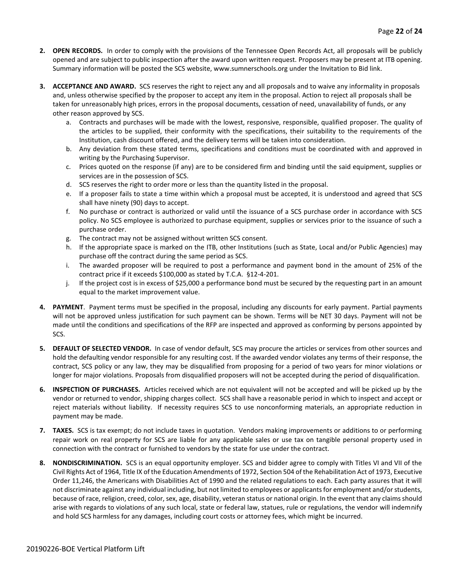- **2. OPEN RECORDS.** In order to comply with the provisions of the Tennessee Open Records Act, all proposals will be publicly opened and are subject to public inspection after the award upon written request. Proposers may be present at ITB opening. Summary information will be posted the SCS website, www.sumnerschools.org under the Invitation to Bid link.
- **3. ACCEPTANCE AND AWARD.** SCS reserves the right to reject any and all proposals and to waive any informality in proposals and, unless otherwise specified by the proposer to accept any item in the proposal. Action to reject all proposals shall be taken for unreasonably high prices, errors in the proposal documents, cessation of need, unavailability of funds, or any other reason approved by SCS.
	- a. Contracts and purchases will be made with the lowest, responsive, responsible, qualified proposer. The quality of the articles to be supplied, their conformity with the specifications, their suitability to the requirements of the Institution, cash discount offered, and the delivery terms will be taken into consideration.
	- b. Any deviation from these stated terms, specifications and conditions must be coordinated with and approved in writing by the Purchasing Supervisor.
	- c. Prices quoted on the response (if any) are to be considered firm and binding until the said equipment, supplies or services are in the possession of SCS.
	- d. SCS reserves the right to order more or less than the quantity listed in the proposal.
	- e. If a proposer fails to state a time within which a proposal must be accepted, it is understood and agreed that SCS shall have ninety (90) days to accept.
	- f. No purchase or contract is authorized or valid until the issuance of a SCS purchase order in accordance with SCS policy. No SCS employee is authorized to purchase equipment, supplies or services prior to the issuance of such a purchase order.
	- g. The contract may not be assigned without written SCS consent.
	- h. If the appropriate space is marked on the ITB, other Institutions (such as State, Local and/or Public Agencies) may purchase off the contract during the same period as SCS.
	- i. The awarded proposer will be required to post a performance and payment bond in the amount of 25% of the contract price if it exceeds \$100,000 as stated by T.C.A. §12-4-201.
	- j. If the project cost is in excess of \$25,000 a performance bond must be secured by the requesting part in an amount equal to the market improvement value.
- **4. PAYMENT**. Payment terms must be specified in the proposal, including any discounts for early payment. Partial payments will not be approved unless justification for such payment can be shown. Terms will be NET 30 days. Payment will not be made until the conditions and specifications of the RFP are inspected and approved as conforming by persons appointed by SCS.
- **5. DEFAULT OF SELECTED VENDOR.** In case of vendor default, SCS may procure the articles or services from other sources and hold the defaulting vendor responsible for any resulting cost. If the awarded vendor violates any terms of their response, the contract, SCS policy or any law, they may be disqualified from proposing for a period of two years for minor violations or longer for major violations. Proposals from disqualified proposers will not be accepted during the period of disqualification.
- **6. INSPECTION OF PURCHASES.** Articles received which are not equivalent will not be accepted and will be picked up by the vendor or returned to vendor, shipping charges collect. SCS shall have a reasonable period in which to inspect and accept or reject materials without liability. If necessity requires SCS to use nonconforming materials, an appropriate reduction in payment may be made.
- **7. TAXES.** SCS is tax exempt; do not include taxes in quotation. Vendors making improvements or additions to or performing repair work on real property for SCS are liable for any applicable sales or use tax on tangible personal property used in connection with the contract or furnished to vendors by the state for use under the contract.
- **8. NONDISCRIMINATION.** SCS is an equal opportunity employer. SCS and bidder agree to comply with Titles VI and VII of the Civil Rights Act of 1964, Title IX of the Education Amendments of 1972, Section 504 of the Rehabilitation Act of 1973, Executive Order 11,246, the Americans with Disabilities Act of 1990 and the related regulations to each. Each party assures that it will not discriminate against any individual including, but not limited to employees or applicants for employment and/or students, because of race, religion, creed, color, sex, age, disability, veteran status or national origin. In the event that any claims should arise with regards to violations of any such local, state or federal law, statues, rule or regulations, the vendor will indemnify and hold SCS harmless for any damages, including court costs or attorney fees, which might be incurred.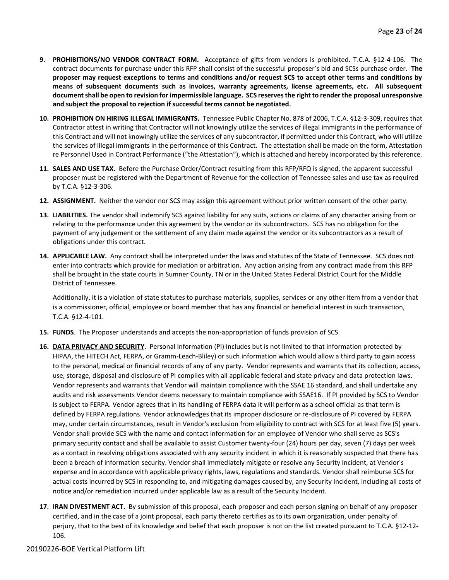- **9. PROHIBITIONS/NO VENDOR CONTRACT FORM.** Acceptance of gifts from vendors is prohibited. T.C.A. §12-4-106. The contract documents for purchase under this RFP shall consist of the successful proposer's bid and SCSs purchase order. **The proposer may request exceptions to terms and conditions and/or request SCS to accept other terms and conditions by means of subsequent documents such as invoices, warranty agreements, license agreements, etc. All subsequent document shall be open to revision for impermissible language. SCS reserves the right to render the proposal unresponsive and subject the proposal to rejection if successful terms cannot be negotiated.**
- **10. PROHIBITION ON HIRING ILLEGAL IMMIGRANTS.** Tennessee Public Chapter No. 878 of 2006, T.C.A. §12-3-309, requires that Contractor attest in writing that Contractor will not knowingly utilize the services of illegal immigrants in the performance of this Contract and will not knowingly utilize the services of any subcontractor, if permitted under this Contract, who will utilize the services of illegal immigrants in the performance of this Contract. The attestation shall be made on the form, Attestation re Personnel Used in Contract Performance ("the Attestation"), which is attached and hereby incorporated by this reference.
- **11. SALES AND USE TAX.** Before the Purchase Order/Contract resulting from this RFP/RFQ is signed, the apparent successful proposer must be registered with the Department of Revenue for the collection of Tennessee sales and use tax as required by T.C.A. §12-3-306.
- **12. ASSIGNMENT.** Neither the vendor nor SCS may assign this agreement without prior written consent of the other party.
- **13. LIABILITIES.** The vendor shall indemnify SCS against liability for any suits, actions or claims of any character arising from or relating to the performance under this agreement by the vendor or its subcontractors. SCS has no obligation for the payment of any judgement or the settlement of any claim made against the vendor or its subcontractors as a result of obligations under this contract.
- **14. APPLICABLE LAW.** Any contract shall be interpreted under the laws and statutes of the State of Tennessee. SCS does not enter into contracts which provide for mediation or arbitration. Any action arising from any contract made from this RFP shall be brought in the state courts in Sumner County, TN or in the United States Federal District Court for the Middle District of Tennessee.

Additionally, it is a violation of state statutes to purchase materials, supplies, services or any other item from a vendor that is a commissioner, official, employee or board member that has any financial or beneficial interest in such transaction, T.C.A. §12-4-101.

- **15. FUNDS**. The Proposer understands and accepts the non-appropriation of funds provision of SCS.
- **16. DATA PRIVACY AND SECURITY**. Personal Information (PI) includes but is not limited to that information protected by HIPAA, the HITECH Act, FERPA, or Gramm-Leach-Bliley) or such information which would allow a third party to gain access to the personal, medical or financial records of any of any party. Vendor represents and warrants that its collection, access, use, storage, disposal and disclosure of PI complies with all applicable federal and state privacy and data protection laws. Vendor represents and warrants that Vendor will maintain compliance with the SSAE 16 standard, and shall undertake any audits and risk assessments Vendor deems necessary to maintain compliance with SSAE16. If PI provided by SCS to Vendor is subject to FERPA. Vendor agrees that in its handling of FERPA data it will perform as a school official as that term is defined by FERPA regulations. Vendor acknowledges that its improper disclosure or re-disclosure of PI covered by FERPA may, under certain circumstances, result in Vendor's exclusion from eligibility to contract with SCS for at least five (5) years. Vendor shall provide SCS with the name and contact information for an employee of Vendor who shall serve as SCS's primary security contact and shall be available to assist Customer twenty-four (24) hours per day, seven (7) days per week as a contact in resolving obligations associated with any security incident in which it is reasonably suspected that there has been a breach of information security. Vendor shall immediately mitigate or resolve any Security Incident, at Vendor's expense and in accordance with applicable privacy rights, laws, regulations and standards. Vendor shall reimburse SCS for actual costs incurred by SCS in responding to, and mitigating damages caused by, any Security Incident, including all costs of notice and/or remediation incurred under applicable law as a result of the Security Incident.
- **17. IRAN DIVESTMENT ACT.** By submission of this proposal, each proposer and each person signing on behalf of any proposer certified, and in the case of a joint proposal, each party thereto certifies as to its own organization, under penalty of perjury, that to the best of its knowledge and belief that each proposer is not on the list created pursuant to T.C.A. §12-12- 106.